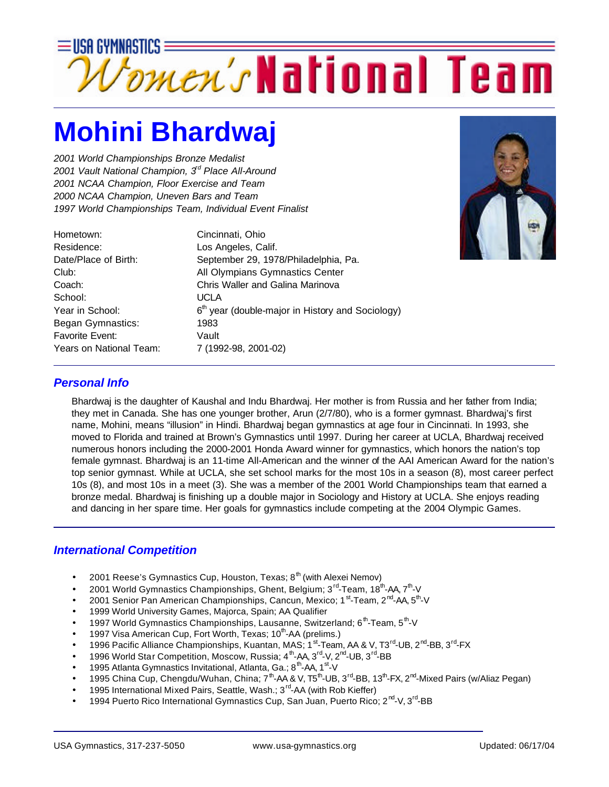

## **Mohini Bhardwaj**

*2001 World Championships Bronze Medalist 2001 Vault National Champion, 3rd Place All-Around 2001 NCAA Champion, Floor Exercise and Team 2000 NCAA Champion, Uneven Bars and Team 1997 World Championships Team, Individual Event Finalist*

| Hometown:                | Cincinnati, Ohio                                             |
|--------------------------|--------------------------------------------------------------|
| Residence:               | Los Angeles, Calif.                                          |
| Date/Place of Birth:     | September 29, 1978/Philadelphia, Pa.                         |
| Club:                    | All Olympians Gymnastics Center                              |
| Coach:                   | Chris Waller and Galina Marinova                             |
| School:                  | UCLA                                                         |
| Year in School:          | 6 <sup>th</sup> year (double-major in History and Sociology) |
| <b>Began Gymnastics:</b> | 1983                                                         |
| <b>Favorite Event:</b>   | Vault                                                        |
| Years on National Team:  | 7 (1992-98, 2001-02)                                         |
|                          |                                                              |



### *Personal Info*

Bhardwaj is the daughter of Kaushal and Indu Bhardwaj. Her mother is from Russia and her father from India; they met in Canada. She has one younger brother, Arun (2/7/80), who is a former gymnast. Bhardwaj's first name, Mohini, means "illusion" in Hindi. Bhardwaj began gymnastics at age four in Cincinnati. In 1993, she moved to Florida and trained at Brown's Gymnastics until 1997. During her career at UCLA, Bhardwaj received numerous honors including the 2000-2001 Honda Award winner for gymnastics, which honors the nation's top female gymnast. Bhardwaj is an 11-time All-American and the winner of the AAI American Award for the nation's top senior gymnast. While at UCLA, she set school marks for the most 10s in a season (8), most career perfect 10s (8), and most 10s in a meet (3). She was a member of the 2001 World Championships team that earned a bronze medal. Bhardwaj is finishing up a double major in Sociology and History at UCLA. She enjoys reading and dancing in her spare time. Her goals for gymnastics include competing at the 2004 Olympic Games.

#### *International Competition*

- 2001 Reese's Gymnastics Cup, Houston, Texas;  $8<sup>th</sup>$  (with Alexei Nemov)
- 2001 World Gymnastics Championships, Ghent, Belgium; 3<sup>rd</sup>-Team, 18<sup>th</sup>-AA, 7<sup>th</sup>-V
- 2001 Senior Pan American Championships, Cancun, Mexico; 1<sup>st</sup>-Team, 2<sup>nd</sup>-AA, 5<sup>th</sup>-V
- 1999 World University Games, Majorca, Spain; AA Qualifier
- 1997 World Gymnastics Championships, Lausanne, Switzerland; 6<sup>th</sup>-Team, 5<sup>th</sup>-V
- 1997 Visa American Cup, Fort Worth, Texas; 10<sup>th</sup>-AA (prelims.)
- 1996 Pacific Alliance Championships, Kuantan, MAS; 1<sup>st</sup>-Team, AA & V, T3<sup>rd</sup>-UB, 2<sup>nd</sup>-BB, 3<sup>rd</sup>-FX
- 1996 World Star Competition, Moscow, Russia;  $4^{th}$ -AA,  $3^{rd}$ -V,  $2^{nd}$ -UB,  $3^{rd}$ -BB
- 1995 Atlanta Gymnastics Invitational, Atlanta, Ga.; 8<sup>th</sup>-AA, 1<sup>st</sup>-V
- 1995 China Cup, Chengdu/Wuhan, China; 7<sup>th</sup>-AA & V, T5<sup>th</sup>-UB, 3<sup>rd</sup>-BB, 13<sup>th</sup>-FX, 2<sup>nd</sup>-Mixed Pairs (w/Aliaz Pegan)
- 1995 International Mixed Pairs, Seattle, Wash.; 3<sup>rd</sup>-AA (with Rob Kieffer)
- 1994 Puerto Rico International Gymnastics Cup, San Juan, Puerto Rico; 2<sup>nd</sup>-V, 3<sup>rd</sup>-BB